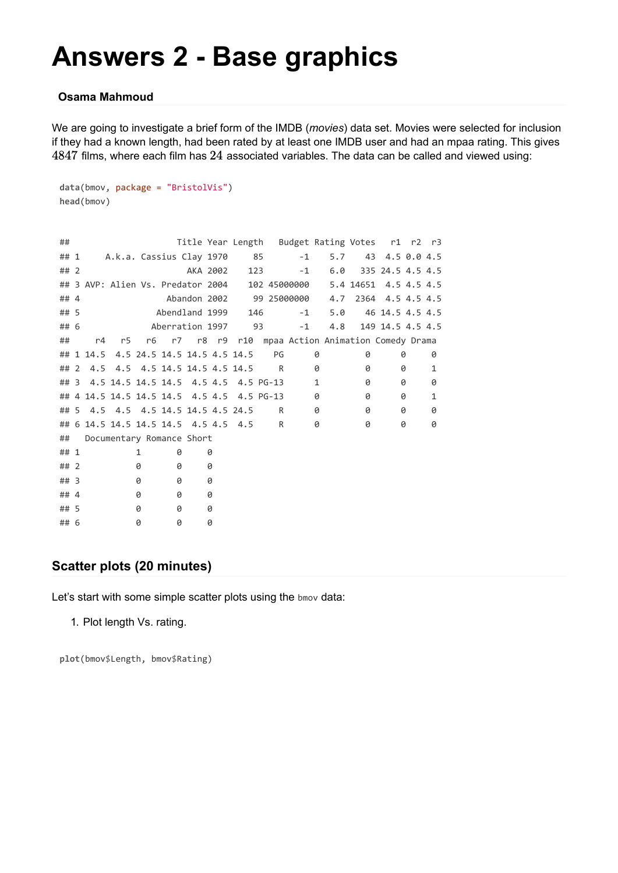# **Answers 2 - Base graphics**

#### **Osama Mahmoud**

We are going to investigate a brief form of the IMDB (*movies*) data set. Movies were selected for inclusion if they had a known length, had been rated by at least one IMDB user and had an mpaa rating. This gives  $4847$  films, where each film has  $24$  associated variables. The data can be called and viewed using:

```
data(bmov, package = "BristolVis")
head(bmov)
```

| ##      |                          |                                            |   |   |          |   |     |     |      | Title Year Length Budget Rating Votes r1 r2 r3     |                       |                  |   |   |
|---------|--------------------------|--------------------------------------------|---|---|----------|---|-----|-----|------|----------------------------------------------------|-----------------------|------------------|---|---|
| ## 1    |                          | A.k.a. Cassius Clay 1970      85           |   |   |          |   |     |     | $-1$ | 5.7                                                |                       | 43 4.5 0.0 4.5   |   |   |
| $\#$ #2 |                          |                                            |   |   | AKA 2002 |   |     | 123 | $-1$ | 6.0                                                |                       | 335 24.5 4.5 4.5 |   |   |
|         |                          |                                            |   |   |          |   |     |     |      |                                                    | 5.4 14651 4.5 4.5 4.5 |                  |   |   |
| ## 4    | Abandon 2002 99 25000000 |                                            |   |   |          |   |     |     |      |                                                    | 4.7 2364 4.5 4.5 4.5  |                  |   |   |
| ## 5    | Abendland 1999           |                                            |   |   |          |   | 146 |     |      | 5.0<br>$-1$                                        |                       | 46 14.5 4.5 4.5  |   |   |
| ## 6    | Aberration 1997          |                                            |   |   |          |   |     | 93  | $-1$ |                                                    | 4.8 149 14.5 4.5 4.5  |                  |   |   |
| ##      | r4                       | r5                                         |   |   |          |   |     |     |      | r6 r7 r8 r9 r10 mpaa Action Animation Comedy Drama |                       |                  |   |   |
|         |                          | ## 1 14.5 4.5 24.5 14.5 14.5 4.5 14.5      |   |   |          |   |     | PG  |      | 0                                                  | 0                     |                  | 0 | 0 |
|         |                          | ## 2 4.5 4.5 4.5 14.5 14.5 4.5 14.5        |   |   |          |   |     | R   |      | 0                                                  | 0                     |                  | 0 | 1 |
|         |                          | ## 3 4.5 14.5 14.5 14.5 4.5 4.5 4.5 PG-13  |   |   |          |   |     |     |      | 1                                                  | 0                     |                  | 0 | 0 |
|         |                          | ## 4 14.5 14.5 14.5 14.5 4.5 4.5 4.5 PG-13 |   |   |          |   |     |     |      | 0                                                  | 0                     |                  | 0 | 1 |
|         |                          | ## 5 4.5 4.5 4.5 14.5 14.5 4.5 24.5        |   |   |          |   |     | R   |      | 0                                                  | 0                     |                  | 0 | 0 |
|         |                          | ## 6 14.5 14.5 14.5 14.5 4.5 4.5 4.5       |   |   |          |   |     | R   |      | 0                                                  | 0                     |                  | 0 | 0 |
| ##      |                          | Documentary Romance Short                  |   |   |          |   |     |     |      |                                                    |                       |                  |   |   |
| ## 1    |                          |                                            | 1 | 0 |          | 0 |     |     |      |                                                    |                       |                  |   |   |
| ## 2    |                          |                                            | 0 | 0 |          | 0 |     |     |      |                                                    |                       |                  |   |   |
| $##$ 3  |                          |                                            | 0 | 0 |          | 0 |     |     |      |                                                    |                       |                  |   |   |
| ## 4    |                          |                                            | 0 | 0 |          | 0 |     |     |      |                                                    |                       |                  |   |   |
| ## 5    |                          |                                            | 0 | 0 |          | 0 |     |     |      |                                                    |                       |                  |   |   |
| ## 6    |                          |                                            | 0 | 0 |          | 0 |     |     |      |                                                    |                       |                  |   |   |
|         |                          |                                            |   |   |          |   |     |     |      |                                                    |                       |                  |   |   |

### **Scatter plots (20 minutes)**

Let's start with some simple scatter plots using the bmov data:

1. Plot length Vs. rating.

```
plot(bmov$Length, bmov$Rating)
```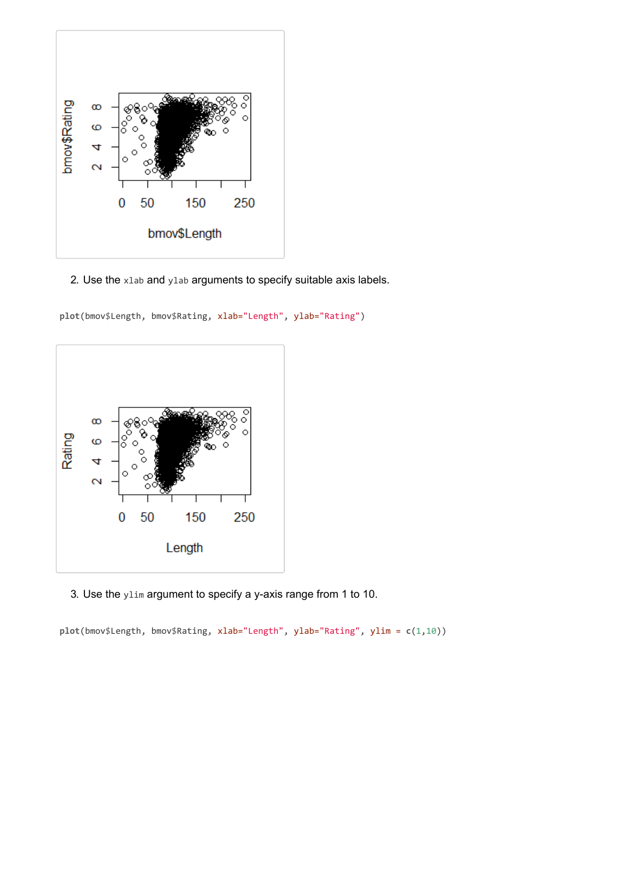

2. Use the xlab and ylab arguments to specify suitable axis labels.

**plot**(bmov\$Length, bmov\$Rating, xlab="Length", ylab="Rating")



3. Use the ylim argument to specify a y-axis range from 1 to 10.

**plot**(bmov\$Length, bmov\$Rating, xlab="Length", ylab="Rating", ylim = **c**(1,10))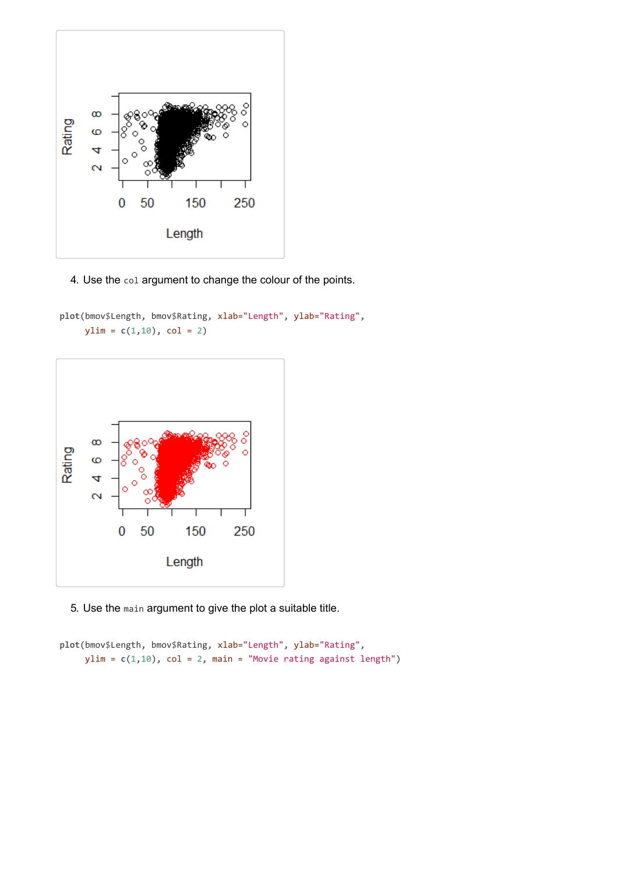

4. Use the col argument to change the colour of the points.

```
plot(bmov$Length, bmov$Rating, xlab="Length", ylab="Rating",
    ylim = c(1,10), col = 2)
```


5. Use the main argument to give the plot a suitable title.

```
plot(bmov$Length, bmov$Rating, xlab="Length", ylab="Rating",
    ylim = c(1,10), col = 2, main = "Movie rating against length")
```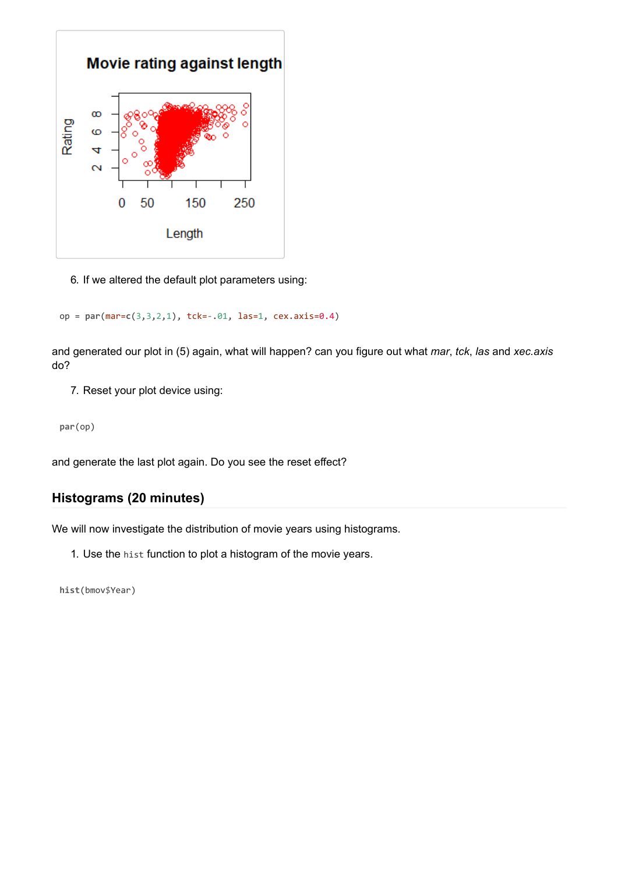

6. If we altered the default plot parameters using:

op = **par**(mar=**c**(3,3,2,1), tck=-.01, las=1, cex.axis=0.4)

and generated our plot in (5) again, what will happen? can you figure out what *mar*, *tck*, *las* and *xec.axis* do?

7. Reset your plot device using:

**par**(op)

and generate the last plot again. Do you see the reset effect?

## **Histograms (20 minutes)**

We will now investigate the distribution of movie years using histograms.

1. Use the hist function to plot a histogram of the movie years.

**hist**(bmov\$Year)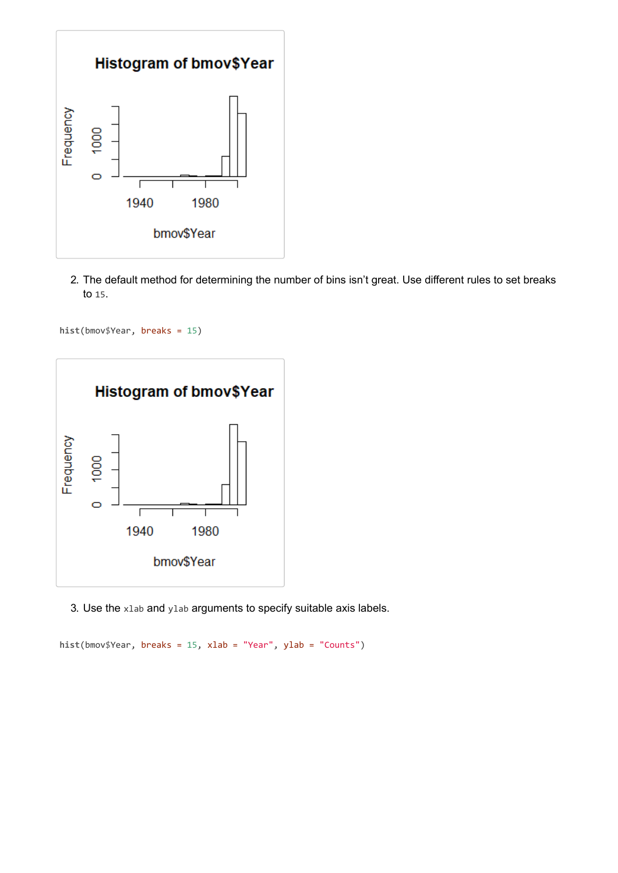

2. The default method for determining the number of bins isn't great. Use different rules to set breaks to 15.

**hist**(bmov\$Year, breaks = 15)



3. Use the xlab and ylab arguments to specify suitable axis labels.

**hist**(bmov\$Year, breaks = 15, xlab = "Year", ylab = "Counts")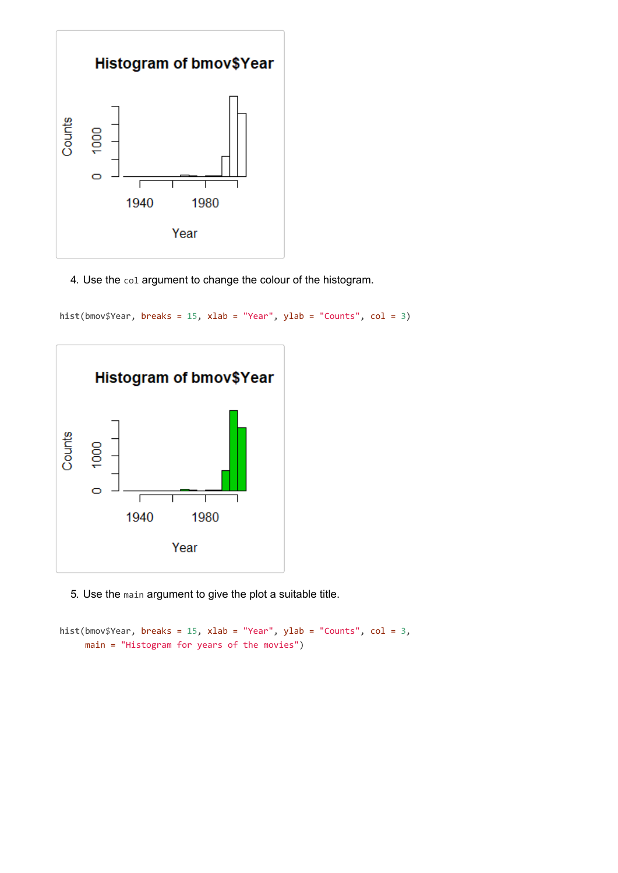

4. Use the col argument to change the colour of the histogram.

**hist**(bmov\$Year, breaks = 15, xlab = "Year", ylab = "Counts", col = 3)



5. Use the main argument to give the plot a suitable title.

```
hist(bmov$Year, breaks = 15, xlab = "Year", ylab = "Counts", col = 3,
     main = "Histogram for years of the movies")
```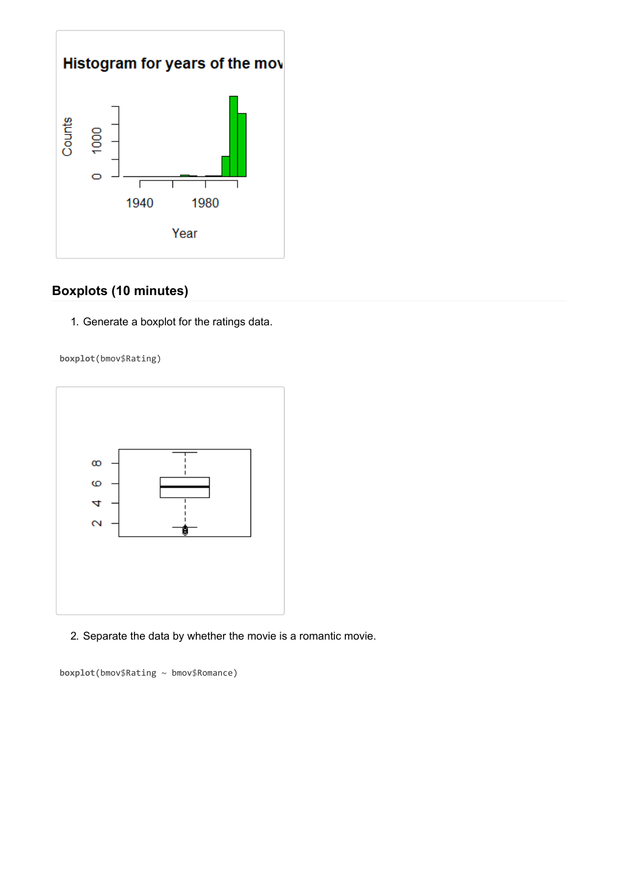

# **Boxplots (10 minutes)**

1. Generate a boxplot for the ratings data.

**boxplot**(bmov\$Rating)



2. Separate the data by whether the movie is a romantic movie.

```
boxplot(bmov$Rating ~ bmov$Romance)
```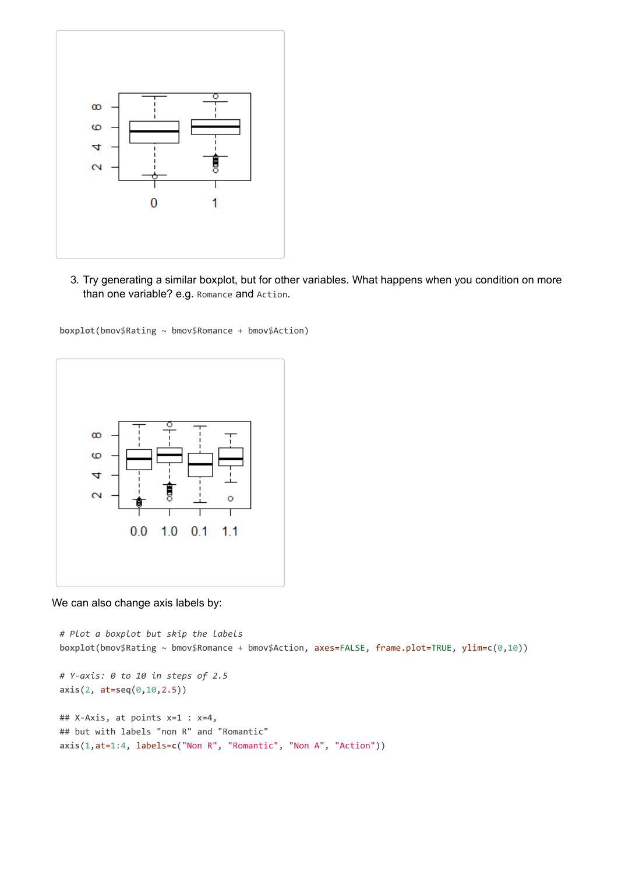

3. Try generating a similar boxplot, but for other variables. What happens when you condition on more than one variable? e.g. Romance and Action.

**boxplot**(bmov\$Rating ~ bmov\$Romance + bmov\$Action)



We can also change axis labels by:

```
# Plot a boxplot but skip the labels
boxplot(bmov$Rating ~ bmov$Romance + bmov$Action, axes=FALSE, frame.plot=TRUE, ylim=c(0,10))
# Y-axis: 0 to 10 in steps of 2.5
axis(2, at=seq(0,10,2.5))
## X-Axis, at points x=1 : x=4,
## but with labels "non R" and "Romantic"
axis(1,at=1:4, labels=c("Non R", "Romantic", "Non A", "Action"))
```